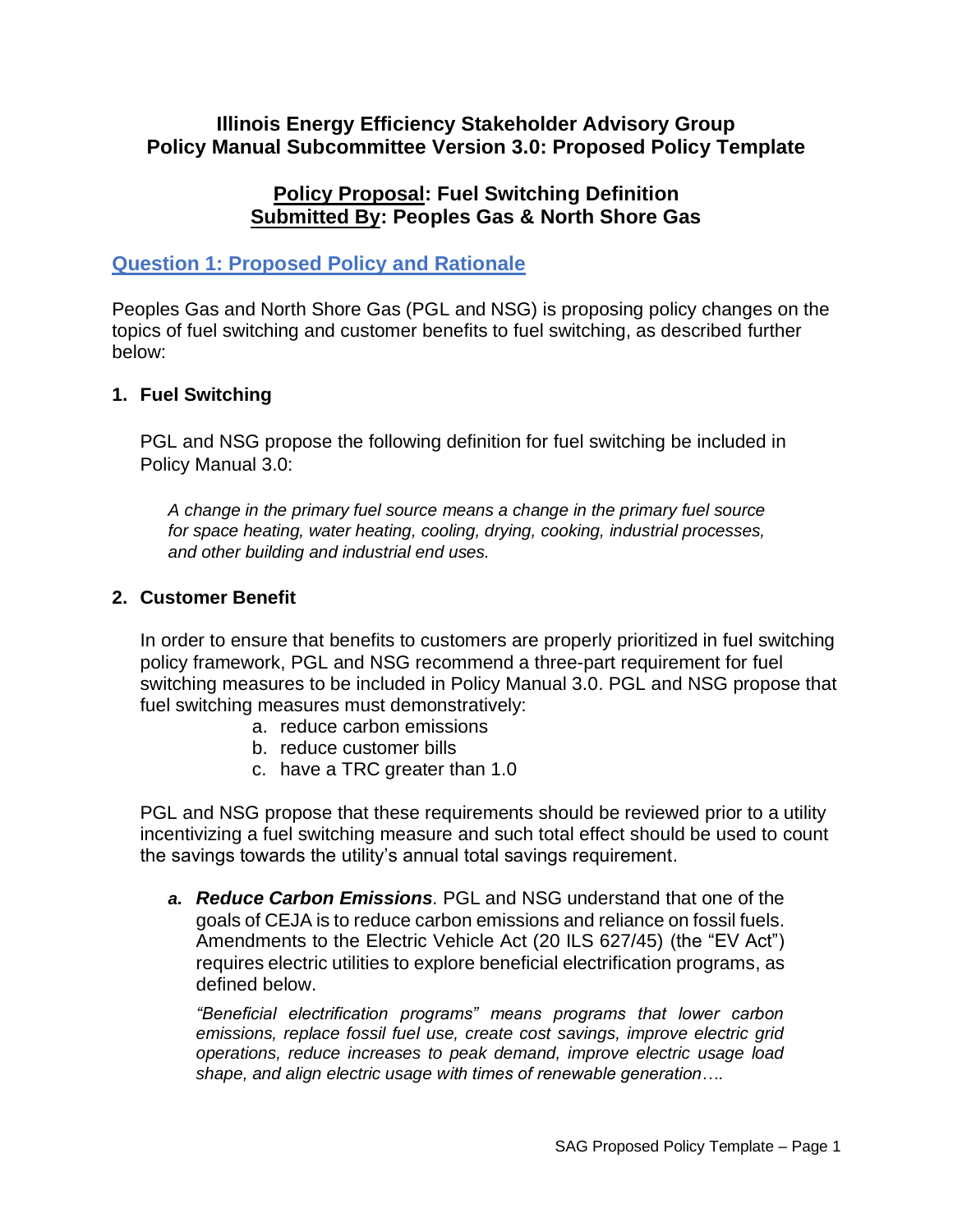#### **Illinois Energy Efficiency Stakeholder Advisory Group Policy Manual Subcommittee Version 3.0: Proposed Policy Template**

#### **Policy Proposal: Fuel Switching Definition Submitted By: Peoples Gas & North Shore Gas**

# **Question 1: Proposed Policy and Rationale**

Peoples Gas and North Shore Gas (PGL and NSG) is proposing policy changes on the topics of fuel switching and customer benefits to fuel switching, as described further below:

#### **1. Fuel Switching**

PGL and NSG propose the following definition for fuel switching be included in Policy Manual 3.0:

*A change in the primary fuel source means a change in the primary fuel source for space heating, water heating, cooling, drying, cooking, industrial processes, and other building and industrial end uses.*

#### **2. Customer Benefit**

In order to ensure that benefits to customers are properly prioritized in fuel switching policy framework, PGL and NSG recommend a three-part requirement for fuel switching measures to be included in Policy Manual 3.0. PGL and NSG propose that fuel switching measures must demonstratively:

- a. reduce carbon emissions
- b. reduce customer bills
- c. have a TRC greater than 1.0

PGL and NSG propose that these requirements should be reviewed prior to a utility incentivizing a fuel switching measure and such total effect should be used to count the savings towards the utility's annual total savings requirement.

*a. Reduce Carbon Emissions.* PGL and NSG understand that one of the goals of CEJA is to reduce carbon emissions and reliance on fossil fuels. Amendments to the Electric Vehicle Act (20 ILS 627/45) (the "EV Act") requires electric utilities to explore beneficial electrification programs, as defined below.

*"Beneficial electrification programs" means programs that lower carbon emissions, replace fossil fuel use, create cost savings, improve electric grid operations, reduce increases to peak demand, improve electric usage load shape, and align electric usage with times of renewable generation….*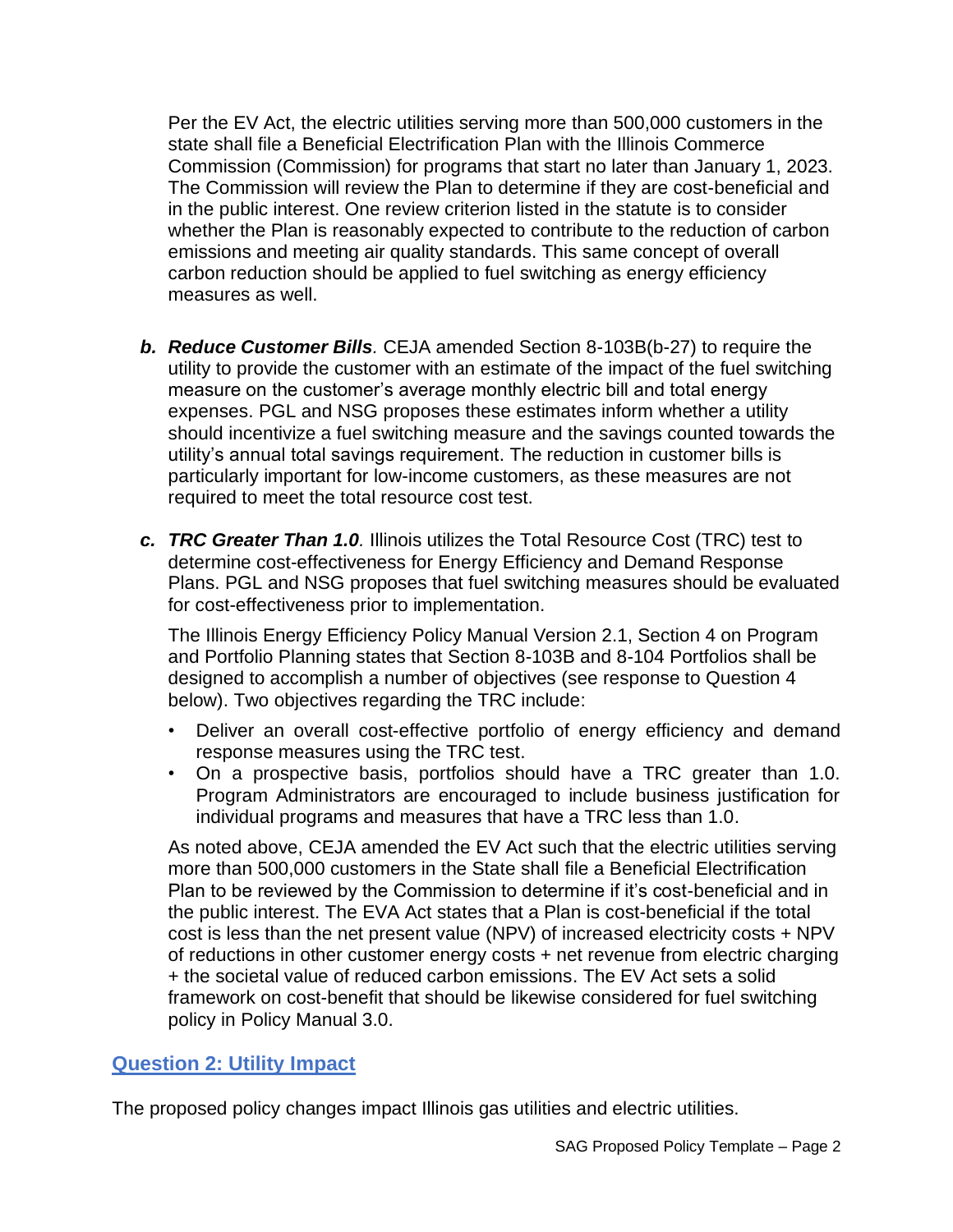Per the EV Act, the electric utilities serving more than 500,000 customers in the state shall file a Beneficial Electrification Plan with the Illinois Commerce Commission (Commission) for programs that start no later than January 1, 2023. The Commission will review the Plan to determine if they are cost-beneficial and in the public interest. One review criterion listed in the statute is to consider whether the Plan is reasonably expected to contribute to the reduction of carbon emissions and meeting air quality standards. This same concept of overall carbon reduction should be applied to fuel switching as energy efficiency measures as well.

- *b. Reduce Customer Bills.* CEJA amended Section 8-103B(b-27) to require the utility to provide the customer with an estimate of the impact of the fuel switching measure on the customer's average monthly electric bill and total energy expenses. PGL and NSG proposes these estimates inform whether a utility should incentivize a fuel switching measure and the savings counted towards the utility's annual total savings requirement. The reduction in customer bills is particularly important for low-income customers, as these measures are not required to meet the total resource cost test.
- *c. TRC Greater Than 1.0.* Illinois utilizes the Total Resource Cost (TRC) test to determine cost-effectiveness for Energy Efficiency and Demand Response Plans. PGL and NSG proposes that fuel switching measures should be evaluated for cost-effectiveness prior to implementation.

The Illinois Energy Efficiency Policy Manual Version 2.1, Section 4 on Program and Portfolio Planning states that Section 8-103B and 8-104 Portfolios shall be designed to accomplish a number of objectives (see response to Question 4 below). Two objectives regarding the TRC include:

- Deliver an overall cost-effective portfolio of energy efficiency and demand response measures using the TRC test.
- On a prospective basis, portfolios should have a TRC greater than 1.0. Program Administrators are encouraged to include business justification for individual programs and measures that have a TRC less than 1.0.

As noted above, CEJA amended the EV Act such that the electric utilities serving more than 500,000 customers in the State shall file a Beneficial Electrification Plan to be reviewed by the Commission to determine if it's cost-beneficial and in the public interest. The EVA Act states that a Plan is cost-beneficial if the total cost is less than the net present value (NPV) of increased electricity costs + NPV of reductions in other customer energy costs + net revenue from electric charging + the societal value of reduced carbon emissions. The EV Act sets a solid framework on cost-benefit that should be likewise considered for fuel switching policy in Policy Manual 3.0.

# **Question 2: Utility Impact**

The proposed policy changes impact Illinois gas utilities and electric utilities.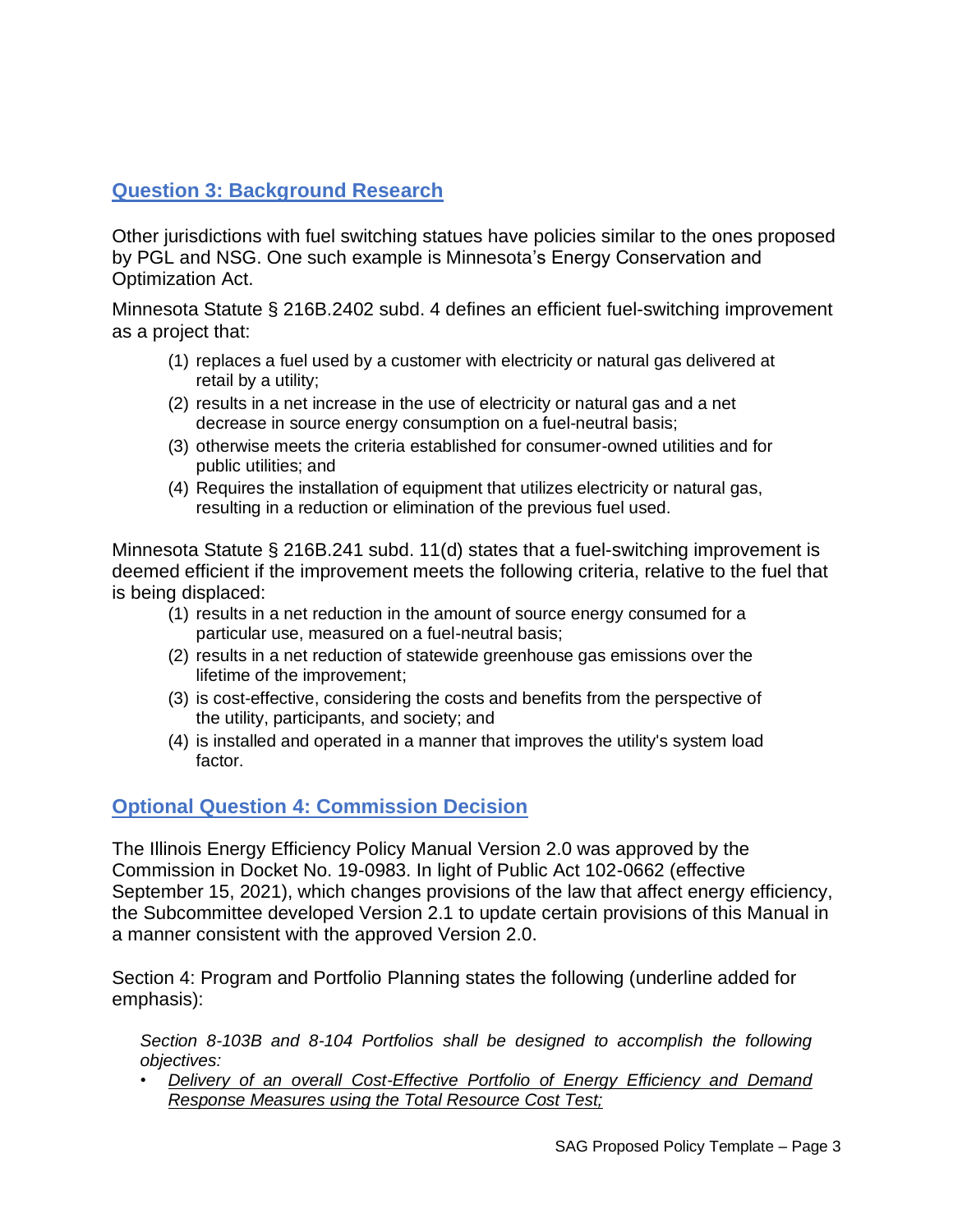# **Question 3: Background Research**

Other jurisdictions with fuel switching statues have policies similar to the ones proposed by PGL and NSG. One such example is Minnesota's Energy Conservation and Optimization Act.

Minnesota Statute § 216B.2402 subd. 4 defines an efficient fuel-switching improvement as a project that:

- (1) replaces a fuel used by a customer with electricity or natural gas delivered at retail by a utility;
- (2) results in a net increase in the use of electricity or natural gas and a net decrease in source energy consumption on a fuel-neutral basis;
- (3) otherwise meets the criteria established for consumer-owned utilities and for public utilities; and
- (4) Requires the installation of equipment that utilizes electricity or natural gas, resulting in a reduction or elimination of the previous fuel used.

Minnesota Statute § 216B.241 subd. 11(d) states that a fuel-switching improvement is deemed efficient if the improvement meets the following criteria, relative to the fuel that is being displaced:

- (1) results in a net reduction in the amount of source energy consumed for a particular use, measured on a fuel-neutral basis;
- (2) results in a net reduction of statewide greenhouse gas emissions over the lifetime of the improvement;
- (3) is cost-effective, considering the costs and benefits from the perspective of the utility, participants, and society; and
- (4) is installed and operated in a manner that improves the utility's system load factor.

# **Optional Question 4: Commission Decision**

The Illinois Energy Efficiency Policy Manual Version 2.0 was approved by the Commission in Docket No. 19-0983. In light of Public Act 102-0662 (effective September 15, 2021), which changes provisions of the law that affect energy efficiency, the Subcommittee developed Version 2.1 to update certain provisions of this Manual in a manner consistent with the approved Version 2.0.

Section 4: Program and Portfolio Planning states the following (underline added for emphasis):

*Section 8-103B and 8-104 Portfolios shall be designed to accomplish the following objectives:*

• *Delivery of an overall Cost-Effective Portfolio of Energy Efficiency and Demand Response Measures using the Total Resource Cost Test;*